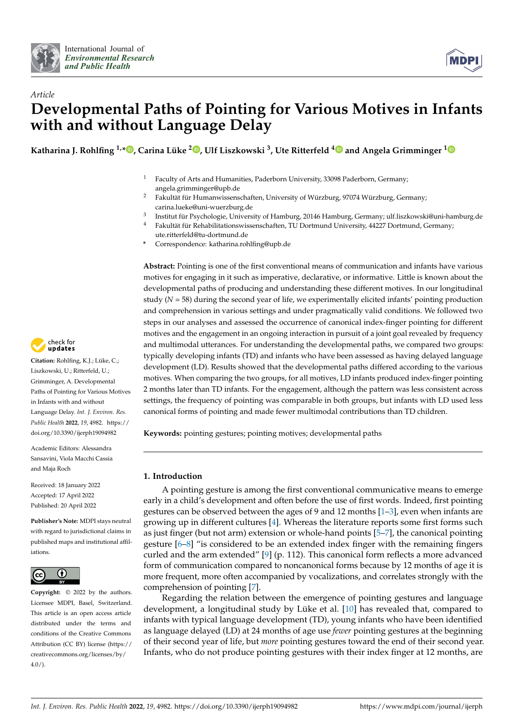



# *Article* **Developmental Paths of Pointing for Various Motives in Infants with and without Language Delay**

**Katharina J. Rohlfing 1,\* [,](https://orcid.org/0000-0002-5676-8233) Carina Lüke <sup>2</sup> [,](https://orcid.org/0000-0001-8890-8686) Ulf Liszkowski <sup>3</sup> , Ute Ritterfeld [4](https://orcid.org/0000-0002-5109-9798) and Angela Grimminger [1](https://orcid.org/0000-0002-5749-9362)**

- <sup>1</sup> Faculty of Arts and Humanities, Paderborn University, 33098 Paderborn, Germany; angela.grimminger@upb.de
- <sup>2</sup> Fakultät für Humanwissenschaften, University of Würzburg, 97074 Würzburg, Germany; carina.lueke@uni-wuerzburg.de
- 3 Institut für Psychologie, University of Hamburg, 20146 Hamburg, Germany; ulf.liszkowski@uni-hamburg.de
- <sup>4</sup> Fakultät für Rehabilitationswissenschaften, TU Dortmund University, 44227 Dortmund, Germany; ute.ritterfeld@tu-dortmund.de
- **\*** Correspondence: katharina.rohlfing@upb.de

**Abstract:** Pointing is one of the first conventional means of communication and infants have various motives for engaging in it such as imperative, declarative, or informative. Little is known about the developmental paths of producing and understanding these different motives. In our longitudinal study (*N* = 58) during the second year of life, we experimentally elicited infants' pointing production and comprehension in various settings and under pragmatically valid conditions. We followed two steps in our analyses and assessed the occurrence of canonical index-finger pointing for different motives and the engagement in an ongoing interaction in pursuit of a joint goal revealed by frequency and multimodal utterances. For understanding the developmental paths, we compared two groups: typically developing infants (TD) and infants who have been assessed as having delayed language development (LD). Results showed that the developmental paths differed according to the various motives. When comparing the two groups, for all motives, LD infants produced index-finger pointing 2 months later than TD infants. For the engagement, although the pattern was less consistent across settings, the frequency of pointing was comparable in both groups, but infants with LD used less canonical forms of pointing and made fewer multimodal contributions than TD children.

**Keywords:** pointing gestures; pointing motives; developmental paths

# **1. Introduction**

A pointing gesture is among the first conventional communicative means to emerge early in a child's development and often before the use of first words. Indeed, first pointing gestures can be observed between the ages of 9 and 12 months [\[1](#page-12-0)[–3\]](#page-12-1), even when infants are growing up in different cultures [\[4\]](#page-12-2). Whereas the literature reports some first forms such as just finger (but not arm) extension or whole-hand points [\[5](#page-12-3)[–7\]](#page-12-4), the canonical pointing gesture [\[6–](#page-12-5)[8\]](#page-13-0) "is considered to be an extended index finger with the remaining fingers curled and the arm extended" [\[9\]](#page-13-1) (p. 112). This canonical form reflects a more advanced form of communication compared to noncanonical forms because by 12 months of age it is more frequent, more often accompanied by vocalizations, and correlates strongly with the comprehension of pointing [\[7\]](#page-12-4).

Regarding the relation between the emergence of pointing gestures and language development, a longitudinal study by Lüke et al. [\[10\]](#page-13-2) has revealed that, compared to infants with typical language development (TD), young infants who have been identified as language delayed (LD) at 24 months of age use *fewer* pointing gestures at the beginning of their second year of life, but *more* pointing gestures toward the end of their second year. Infants, who do not produce pointing gestures with their index finger at 12 months, are



**Citation:** Rohlfing, K.J.; Lüke, C.; Liszkowski, U.; Ritterfeld, U.; Grimminger, A. Developmental Paths of Pointing for Various Motives in Infants with and without Language Delay. *Int. J. Environ. Res. Public Health* **2022**, *19*, 4982. [https://](https://doi.org/10.3390/ijerph19094982) [doi.org/10.3390/ijerph19094982](https://doi.org/10.3390/ijerph19094982)

Academic Editors: Alessandra Sansavini, Viola Macchi Cassia and Maja Roch

Received: 18 January 2022 Accepted: 17 April 2022 Published: 20 April 2022

**Publisher's Note:** MDPI stays neutral with regard to jurisdictional claims in published maps and institutional affiliations.



**Copyright:** © 2022 by the authors. Licensee MDPI, Basel, Switzerland. This article is an open access article distributed under the terms and conditions of the Creative Commons Attribution (CC BY) license [\(https://](https://creativecommons.org/licenses/by/4.0/) [creativecommons.org/licenses/by/](https://creativecommons.org/licenses/by/4.0/)  $4.0/$ ).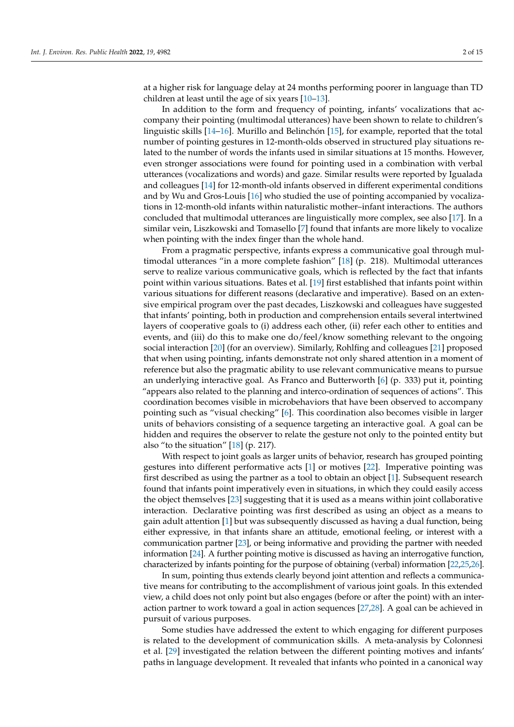at a higher risk for language delay at 24 months performing poorer in language than TD children at least until the age of six years [\[10](#page-13-2)[–13\]](#page-13-3).

In addition to the form and frequency of pointing, infants' vocalizations that accompany their pointing (multimodal utterances) have been shown to relate to children's linguistic skills [\[14](#page-13-4)[–16\]](#page-13-5). Murillo and Belinchón [\[15\]](#page-13-6), for example, reported that the total number of pointing gestures in 12-month-olds observed in structured play situations related to the number of words the infants used in similar situations at 15 months. However, even stronger associations were found for pointing used in a combination with verbal utterances (vocalizations and words) and gaze. Similar results were reported by Igualada and colleagues [\[14\]](#page-13-4) for 12-month-old infants observed in different experimental conditions and by Wu and Gros-Louis [\[16\]](#page-13-5) who studied the use of pointing accompanied by vocalizations in 12-month-old infants within naturalistic mother–infant interactions. The authors concluded that multimodal utterances are linguistically more complex, see also [\[17\]](#page-13-7). In a similar vein, Liszkowski and Tomasello [\[7\]](#page-12-4) found that infants are more likely to vocalize when pointing with the index finger than the whole hand.

From a pragmatic perspective, infants express a communicative goal through multimodal utterances "in a more complete fashion" [\[18\]](#page-13-8) (p. 218). Multimodal utterances serve to realize various communicative goals, which is reflected by the fact that infants point within various situations. Bates et al. [\[19\]](#page-13-9) first established that infants point within various situations for different reasons (declarative and imperative). Based on an extensive empirical program over the past decades, Liszkowski and colleagues have suggested that infants' pointing, both in production and comprehension entails several intertwined layers of cooperative goals to (i) address each other, (ii) refer each other to entities and events, and (iii) do this to make one do/feel/know something relevant to the ongoing social interaction [\[20\]](#page-13-10) (for an overview). Similarly, Rohlfing and colleagues [\[21\]](#page-13-11) proposed that when using pointing, infants demonstrate not only shared attention in a moment of reference but also the pragmatic ability to use relevant communicative means to pursue an underlying interactive goal. As Franco and Butterworth [\[6\]](#page-12-5) (p. 333) put it, pointing "appears also related to the planning and interco-ordination of sequences of actions". This coordination becomes visible in microbehaviors that have been observed to accompany pointing such as "visual checking" [\[6\]](#page-12-5). This coordination also becomes visible in larger units of behaviors consisting of a sequence targeting an interactive goal. A goal can be hidden and requires the observer to relate the gesture not only to the pointed entity but also "to the situation" [\[18\]](#page-13-8) (p. 217).

With respect to joint goals as larger units of behavior, research has grouped pointing gestures into different performative acts [\[1\]](#page-12-0) or motives [\[22\]](#page-13-12). Imperative pointing was first described as using the partner as a tool to obtain an object [\[1\]](#page-12-0). Subsequent research found that infants point imperatively even in situations, in which they could easily access the object themselves [\[23\]](#page-13-13) suggesting that it is used as a means within joint collaborative interaction. Declarative pointing was first described as using an object as a means to gain adult attention [\[1\]](#page-12-0) but was subsequently discussed as having a dual function, being either expressive, in that infants share an attitude, emotional feeling, or interest with a communication partner [\[23\]](#page-13-13), or being informative and providing the partner with needed information [\[24\]](#page-13-14). A further pointing motive is discussed as having an interrogative function, characterized by infants pointing for the purpose of obtaining (verbal) information [\[22](#page-13-12)[,25](#page-13-15)[,26\]](#page-13-16).

In sum, pointing thus extends clearly beyond joint attention and reflects a communicative means for contributing to the accomplishment of various joint goals. In this extended view, a child does not only point but also engages (before or after the point) with an interaction partner to work toward a goal in action sequences [\[27](#page-13-17)[,28\]](#page-13-18). A goal can be achieved in pursuit of various purposes.

Some studies have addressed the extent to which engaging for different purposes is related to the development of communication skills. A meta-analysis by Colonnesi et al. [\[29\]](#page-13-19) investigated the relation between the different pointing motives and infants' paths in language development. It revealed that infants who pointed in a canonical way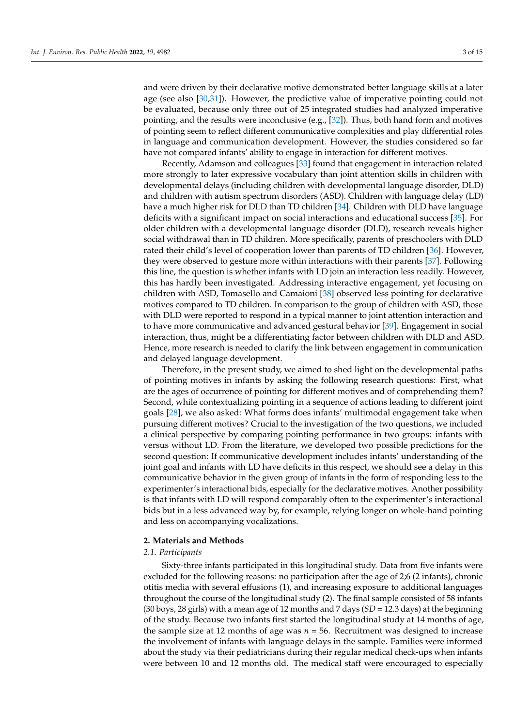and were driven by their declarative motive demonstrated better language skills at a later age (see also [\[30,](#page-13-20)[31\]](#page-13-21)). However, the predictive value of imperative pointing could not be evaluated, because only three out of 25 integrated studies had analyzed imperative pointing, and the results were inconclusive (e.g.,  $[32]$ ). Thus, both hand form and motives of pointing seem to reflect different communicative complexities and play differential roles in language and communication development. However, the studies considered so far have not compared infants' ability to engage in interaction for different motives.

Recently, Adamson and colleagues [\[33\]](#page-13-23) found that engagement in interaction related more strongly to later expressive vocabulary than joint attention skills in children with developmental delays (including children with developmental language disorder, DLD) and children with autism spectrum disorders (ASD). Children with language delay (LD) have a much higher risk for DLD than TD children [\[34\]](#page-13-24). Children with DLD have language deficits with a significant impact on social interactions and educational success [\[35\]](#page-13-25). For older children with a developmental language disorder (DLD), research reveals higher social withdrawal than in TD children. More specifically, parents of preschoolers with DLD rated their child's level of cooperation lower than parents of TD children [\[36\]](#page-13-26). However, they were observed to gesture more within interactions with their parents [\[37\]](#page-13-27). Following this line, the question is whether infants with LD join an interaction less readily. However, this has hardly been investigated. Addressing interactive engagement, yet focusing on children with ASD, Tomasello and Camaioni [\[38\]](#page-14-0) observed less pointing for declarative motives compared to TD children. In comparison to the group of children with ASD, those with DLD were reported to respond in a typical manner to joint attention interaction and to have more communicative and advanced gestural behavior [\[39\]](#page-14-1). Engagement in social interaction, thus, might be a differentiating factor between children with DLD and ASD. Hence, more research is needed to clarify the link between engagement in communication and delayed language development.

Therefore, in the present study, we aimed to shed light on the developmental paths of pointing motives in infants by asking the following research questions: First, what are the ages of occurrence of pointing for different motives and of comprehending them? Second, while contextualizing pointing in a sequence of actions leading to different joint goals [\[28\]](#page-13-18), we also asked: What forms does infants' multimodal engagement take when pursuing different motives? Crucial to the investigation of the two questions, we included a clinical perspective by comparing pointing performance in two groups: infants with versus without LD. From the literature, we developed two possible predictions for the second question: If communicative development includes infants' understanding of the joint goal and infants with LD have deficits in this respect, we should see a delay in this communicative behavior in the given group of infants in the form of responding less to the experimenter's interactional bids, especially for the declarative motives. Another possibility is that infants with LD will respond comparably often to the experimenter's interactional bids but in a less advanced way by, for example, relying longer on whole-hand pointing and less on accompanying vocalizations.

#### **2. Materials and Methods**

## *2.1. Participants*

Sixty-three infants participated in this longitudinal study. Data from five infants were excluded for the following reasons: no participation after the age of 2;6 (2 infants), chronic otitis media with several effusions (1), and increasing exposure to additional languages throughout the course of the longitudinal study (2). The final sample consisted of 58 infants (30 boys, 28 girls) with a mean age of 12 months and 7 days (*SD* = 12.3 days) at the beginning of the study. Because two infants first started the longitudinal study at 14 months of age, the sample size at 12 months of age was  $n = 56$ . Recruitment was designed to increase the involvement of infants with language delays in the sample. Families were informed about the study via their pediatricians during their regular medical check-ups when infants were between 10 and 12 months old. The medical staff were encouraged to especially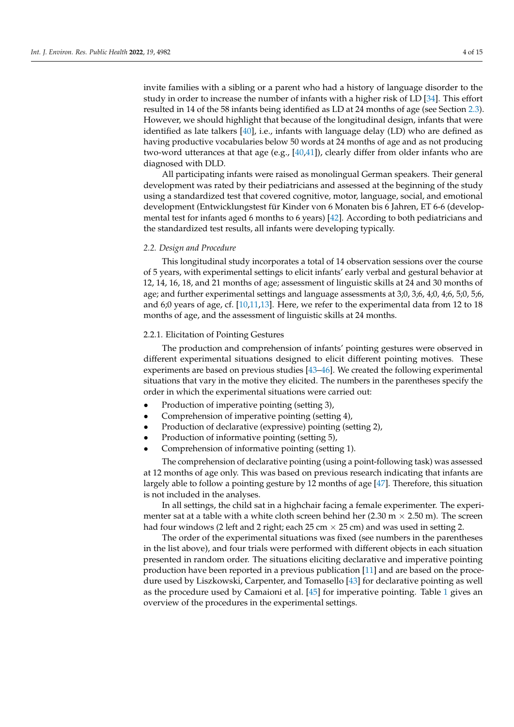invite families with a sibling or a parent who had a history of language disorder to the study in order to increase the number of infants with a higher risk of LD [\[34\]](#page-13-24). This effort resulted in 14 of the 58 infants being identified as LD at 24 months of age (see Section [2.3\)](#page-6-0). However, we should highlight that because of the longitudinal design, infants that were identified as late talkers [\[40\]](#page-14-2), i.e., infants with language delay (LD) who are defined as having productive vocabularies below 50 words at 24 months of age and as not producing two-word utterances at that age (e.g.,  $[40,41]$  $[40,41]$ ), clearly differ from older infants who are diagnosed with DLD.

All participating infants were raised as monolingual German speakers. Their general development was rated by their pediatricians and assessed at the beginning of the study using a standardized test that covered cognitive, motor, language, social, and emotional development (Entwicklungstest für Kinder von 6 Monaten bis 6 Jahren, ET 6-6 (developmental test for infants aged 6 months to 6 years) [\[42\]](#page-14-4). According to both pediatricians and the standardized test results, all infants were developing typically.

## *2.2. Design and Procedure*

This longitudinal study incorporates a total of 14 observation sessions over the course of 5 years, with experimental settings to elicit infants' early verbal and gestural behavior at 12, 14, 16, 18, and 21 months of age; assessment of linguistic skills at 24 and 30 months of age; and further experimental settings and language assessments at 3;0, 3;6, 4;0, 4;6, 5;0, 5;6, and 6;0 years of age, cf. [\[10](#page-13-2)[,11](#page-13-28)[,13\]](#page-13-3). Here, we refer to the experimental data from 12 to 18 months of age, and the assessment of linguistic skills at 24 months.

## 2.2.1. Elicitation of Pointing Gestures

The production and comprehension of infants' pointing gestures were observed in different experimental situations designed to elicit different pointing motives. These experiments are based on previous studies [\[43](#page-14-5)[–46\]](#page-14-6). We created the following experimental situations that vary in the motive they elicited. The numbers in the parentheses specify the order in which the experimental situations were carried out:

- Production of imperative pointing (setting 3),
- Comprehension of imperative pointing (setting 4),
- Production of declarative (expressive) pointing (setting 2),
- Production of informative pointing (setting 5),
- Comprehension of informative pointing (setting 1).

The comprehension of declarative pointing (using a point-following task) was assessed at 12 months of age only. This was based on previous research indicating that infants are largely able to follow a pointing gesture by 12 months of age [\[47\]](#page-14-7). Therefore, this situation is not included in the analyses.

In all settings, the child sat in a highchair facing a female experimenter. The experimenter sat at a table with a white cloth screen behind her (2.30 m  $\times$  2.50 m). The screen had four windows (2 left and 2 right; each 25 cm  $\times$  25 cm) and was used in setting 2.

The order of the experimental situations was fixed (see numbers in the parentheses in the list above), and four trials were performed with different objects in each situation presented in random order. The situations eliciting declarative and imperative pointing production have been reported in a previous publication [\[11\]](#page-13-28) and are based on the procedure used by Liszkowski, Carpenter, and Tomasello [\[43\]](#page-14-5) for declarative pointing as well as the procedure used by Camaioni et al. [\[45\]](#page-14-8) for imperative pointing. Table [1](#page-4-0) gives an overview of the procedures in the experimental settings.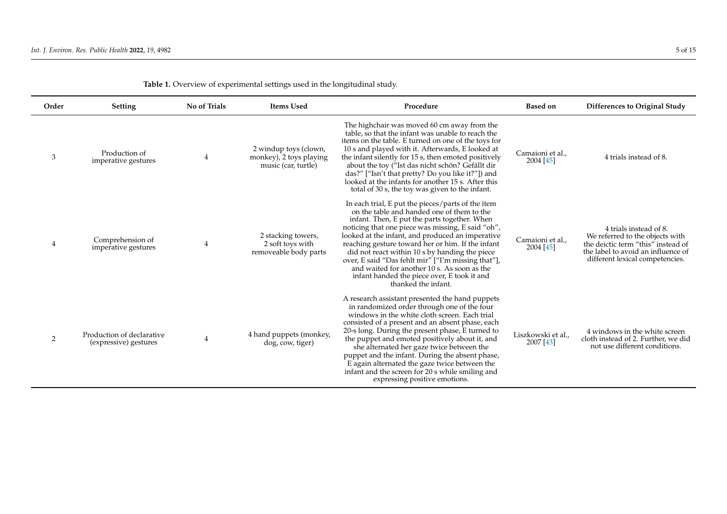<span id="page-4-0"></span>

| Order | <b>Setting</b>                                     | No of Trials   | <b>Items Used</b>                                                       | Procedure                                                                                                                                                                                                                                                                                                                                                                                                                                                                                                                                       | <b>Based on</b>                 | <b>Differences to Original Study</b>                                                                                                                                     |
|-------|----------------------------------------------------|----------------|-------------------------------------------------------------------------|-------------------------------------------------------------------------------------------------------------------------------------------------------------------------------------------------------------------------------------------------------------------------------------------------------------------------------------------------------------------------------------------------------------------------------------------------------------------------------------------------------------------------------------------------|---------------------------------|--------------------------------------------------------------------------------------------------------------------------------------------------------------------------|
| 3     | Production of<br>imperative gestures               | 4              | 2 windup toys (clown,<br>monkey), 2 toys playing<br>music (car, turtle) | The highchair was moved 60 cm away from the<br>table, so that the infant was unable to reach the<br>items on the table. E turned on one of the toys for<br>10 s and played with it. Afterwards, E looked at<br>the infant silently for 15 s, then emoted positively<br>about the toy ("Ist das nicht schön? Gefällt dir<br>das?" ["Isn't that pretty? Do you like it?"]) and<br>looked at the infants for another 15 s. After this<br>total of 30 s, the toy was given to the infant.                                                           | Camaioni et al.,<br>2004 [45]   | 4 trials instead of 8.                                                                                                                                                   |
| 4     | Comprehension of<br>imperative gestures            | $\overline{4}$ | 2 stacking towers,<br>2 soft toys with<br>removeable body parts         | In each trial, E put the pieces/parts of the item<br>on the table and handed one of them to the<br>infant. Then, E put the parts together. When<br>noticing that one piece was missing, E said "oh",<br>looked at the infant, and produced an imperative<br>reaching gesture toward her or him. If the infant<br>did not react within 10 s by handing the piece<br>over, E said "Das fehlt mir" ["I'm missing that"],<br>and waited for another 10 s. As soon as the<br>infant handed the piece over, E took it and<br>thanked the infant.      | Camaioni et al.,<br>2004 [45]   | 4 trials instead of 8.<br>We referred to the objects with<br>the deictic term "this" instead of<br>the label to avoid an influence of<br>different lexical competencies. |
| 2     | Production of declarative<br>(expressive) gestures | $\overline{4}$ | 4 hand puppets (monkey,<br>dog, cow, tiger)                             | A research assistant presented the hand puppets<br>in randomized order through one of the four<br>windows in the white cloth screen. Each trial<br>consisted of a present and an absent phase, each<br>20-s long. During the present phase, E turned to<br>the puppet and emoted positively about it, and<br>she alternated her gaze twice between the<br>puppet and the infant. During the absent phase,<br>E again alternated the gaze twice between the<br>infant and the screen for 20 s while smiling and<br>expressing positive emotions. | Liszkowski et al.,<br>2007 [43] | 4 windows in the white screen<br>cloth instead of 2. Further, we did<br>not use different conditions.                                                                    |

| Table 1. Overview of experimental settings used in the longitudinal study. |  |  |  |  |  |
|----------------------------------------------------------------------------|--|--|--|--|--|
|----------------------------------------------------------------------------|--|--|--|--|--|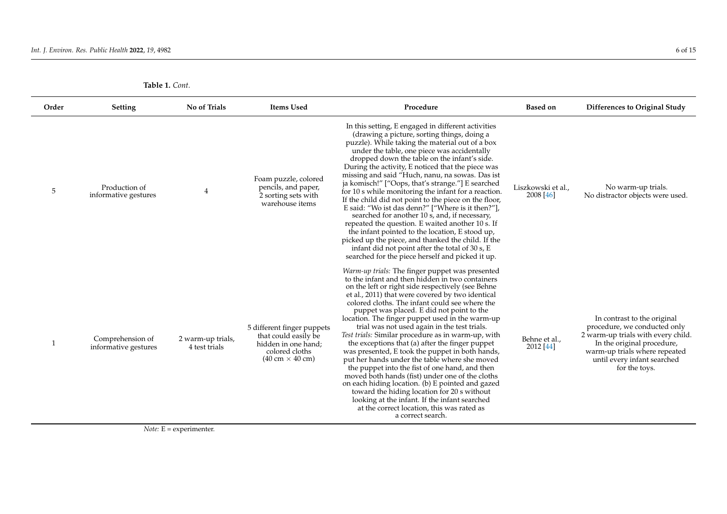| Table 1. Cont. |
|----------------|
|----------------|

| Order | <b>Setting</b>                           | No of Trials                       | <b>Items Used</b>                                                                                                                     | Procedure                                                                                                                                                                                                                                                                                                                                                                                                                                                                                                                                                                                                                                                                                                                                                                                                                                                                                                                                                     | <b>Based on</b>                 | Differences to Original Study                                                                                                                                                                                    |
|-------|------------------------------------------|------------------------------------|---------------------------------------------------------------------------------------------------------------------------------------|---------------------------------------------------------------------------------------------------------------------------------------------------------------------------------------------------------------------------------------------------------------------------------------------------------------------------------------------------------------------------------------------------------------------------------------------------------------------------------------------------------------------------------------------------------------------------------------------------------------------------------------------------------------------------------------------------------------------------------------------------------------------------------------------------------------------------------------------------------------------------------------------------------------------------------------------------------------|---------------------------------|------------------------------------------------------------------------------------------------------------------------------------------------------------------------------------------------------------------|
| 5     | Production of<br>informative gestures    | 4                                  | Foam puzzle, colored<br>pencils, and paper,<br>2 sorting sets with<br>warehouse items                                                 | In this setting, E engaged in different activities<br>(drawing a picture, sorting things, doing a<br>puzzle). While taking the material out of a box<br>under the table, one piece was accidentally<br>dropped down the table on the infant's side.<br>During the activity, E noticed that the piece was<br>missing and said "Huch, nanu, na sowas. Das ist<br>ja komisch!" ["Oops, that's strange."] E searched<br>for 10 s while monitoring the infant for a reaction.<br>If the child did not point to the piece on the floor,<br>E said: "Wo ist das denn?" ["Where is it then?"],<br>searched for another 10 s, and, if necessary,<br>repeated the question. E waited another 10 s. If<br>the infant pointed to the location, E stood up,<br>picked up the piece, and thanked the child. If the<br>infant did not point after the total of 30 s, E<br>searched for the piece herself and picked it up.                                                   | Liszkowski et al.,<br>2008 [46] | No warm-up trials.<br>No distractor objects were used.                                                                                                                                                           |
| -1    | Comprehension of<br>informative gestures | 2 warm-up trials,<br>4 test trials | 5 different finger puppets<br>that could easily be<br>hidden in one hand:<br>colored cloths<br>$(40 \text{ cm} \times 40 \text{ cm})$ | <i>Warm-up trials:</i> The finger puppet was presented<br>to the infant and then hidden in two containers<br>on the left or right side respectively (see Behne<br>et al., 2011) that were covered by two identical<br>colored cloths. The infant could see where the<br>puppet was placed. E did not point to the<br>location. The finger puppet used in the warm-up<br>trial was not used again in the test trials.<br>Test trials: Similar procedure as in warm-up, with<br>the exceptions that (a) after the finger puppet<br>was presented, E took the puppet in both hands,<br>put her hands under the table where she moved<br>the puppet into the fist of one hand, and then<br>moved both hands (fist) under one of the cloths<br>on each hiding location. (b) E pointed and gazed<br>toward the hiding location for 20 s without<br>looking at the infant. If the infant searched<br>at the correct location, this was rated as<br>a correct search. | Behne et al.,<br>2012 [44]      | In contrast to the original<br>procedure, we conducted only<br>2 warm-up trials with every child.<br>In the original procedure,<br>warm-up trials where repeated<br>until every infant searched<br>for the toys. |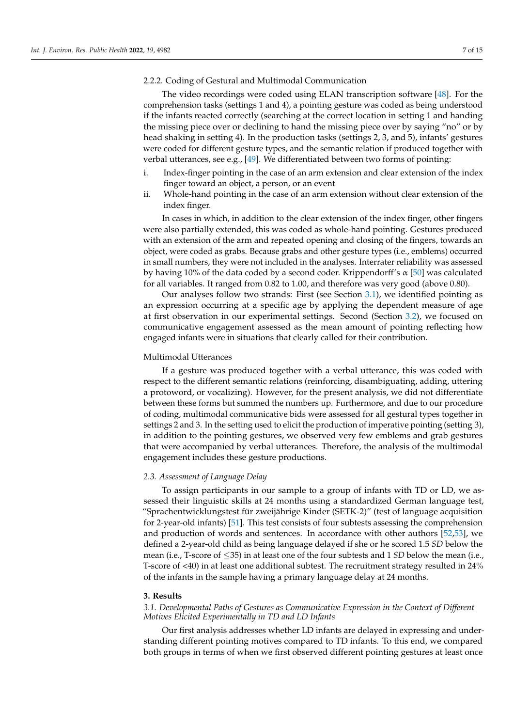## 2.2.2. Coding of Gestural and Multimodal Communication

The video recordings were coded using ELAN transcription software [\[48\]](#page-14-13). For the comprehension tasks (settings 1 and 4), a pointing gesture was coded as being understood if the infants reacted correctly (searching at the correct location in setting 1 and handing the missing piece over or declining to hand the missing piece over by saying "no" or by head shaking in setting 4). In the production tasks (settings 2, 3, and 5), infants' gestures were coded for different gesture types, and the semantic relation if produced together with verbal utterances, see e.g., [\[49\]](#page-14-14). We differentiated between two forms of pointing:

- i. Index-finger pointing in the case of an arm extension and clear extension of the index finger toward an object, a person, or an event
- ii. Whole-hand pointing in the case of an arm extension without clear extension of the index finger.

In cases in which, in addition to the clear extension of the index finger, other fingers were also partially extended, this was coded as whole-hand pointing. Gestures produced with an extension of the arm and repeated opening and closing of the fingers, towards an object, were coded as grabs. Because grabs and other gesture types (i.e., emblems) occurred in small numbers, they were not included in the analyses. Interrater reliability was assessed by having 10% of the data coded by a second coder. Krippendorff's  $\alpha$  [\[50\]](#page-14-15) was calculated for all variables. It ranged from 0.82 to 1.00, and therefore was very good (above 0.80).

Our analyses follow two strands: First (see Section [3.1\)](#page-6-1), we identified pointing as an expression occurring at a specific age by applying the dependent measure of age at first observation in our experimental settings. Second (Section [3.2\)](#page-8-0), we focused on communicative engagement assessed as the mean amount of pointing reflecting how engaged infants were in situations that clearly called for their contribution.

### Multimodal Utterances

If a gesture was produced together with a verbal utterance, this was coded with respect to the different semantic relations (reinforcing, disambiguating, adding, uttering a protoword, or vocalizing). However, for the present analysis, we did not differentiate between these forms but summed the numbers up. Furthermore, and due to our procedure of coding, multimodal communicative bids were assessed for all gestural types together in settings 2 and 3. In the setting used to elicit the production of imperative pointing (setting 3), in addition to the pointing gestures, we observed very few emblems and grab gestures that were accompanied by verbal utterances. Therefore, the analysis of the multimodal engagement includes these gesture productions.

# <span id="page-6-0"></span>*2.3. Assessment of Language Delay*

To assign participants in our sample to a group of infants with TD or LD, we assessed their linguistic skills at 24 months using a standardized German language test, "Sprachentwicklungstest für zweijährige Kinder (SETK-2)" (test of language acquisition for 2-year-old infants) [\[51\]](#page-14-16). This test consists of four subtests assessing the comprehension and production of words and sentences. In accordance with other authors [\[52,](#page-14-17)[53\]](#page-14-18), we defined a 2-year-old child as being language delayed if she or he scored 1.5 *SD* below the mean (i.e., T-score of ≤35) in at least one of the four subtests and 1 *SD* below the mean (i.e., T-score of <40) in at least one additional subtest. The recruitment strategy resulted in 24% of the infants in the sample having a primary language delay at 24 months.

#### **3. Results**

<span id="page-6-1"></span>*3.1. Developmental Paths of Gestures as Communicative Expression in the Context of Different Motives Elicited Experimentally in TD and LD Infants*

Our first analysis addresses whether LD infants are delayed in expressing and understanding different pointing motives compared to TD infants. To this end, we compared both groups in terms of when we first observed different pointing gestures at least once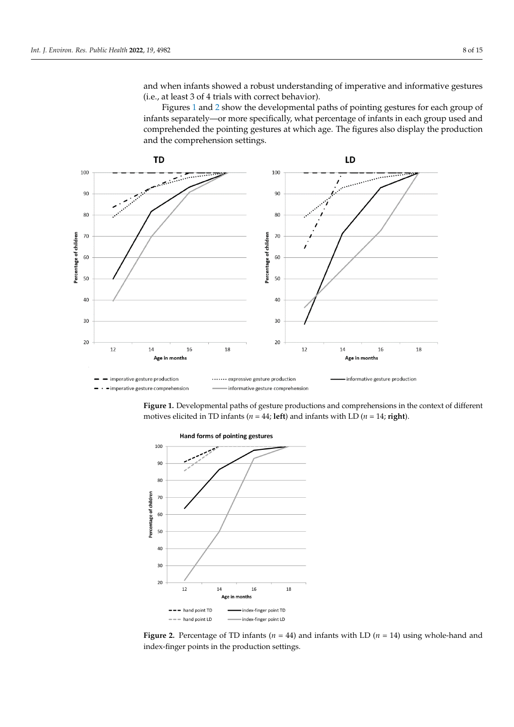and when infants showed a robust understanding of imperative and informative gestures  $(i.e., at least 3 of 4 trials with correct behavior).$ 

<span id="page-7-0"></span>Figures 1 and 2 show the dev[el](#page-7-0)opmental paths of pointing gestures f[or](#page-7-1) each group of infants separately—or more specifically, what percentage of infants in each group used and comprehended the pointing gestures at which age. The figures also display the production and the comprehension settings.



Figure 1. Developmental paths of gesture productions and comprehensions in the context of different motives elicited in TD infants ( $n = 44$ ; **left**) and infants with LD ( $n = 14$ ; **right**).

<span id="page-7-1"></span>

Figure 2. Percentage of TD infants ( $n = 44$ ) and infants with LD ( $n = 14$ ) using whole-hand and finger points in the production settings. index-finger points in the production settings.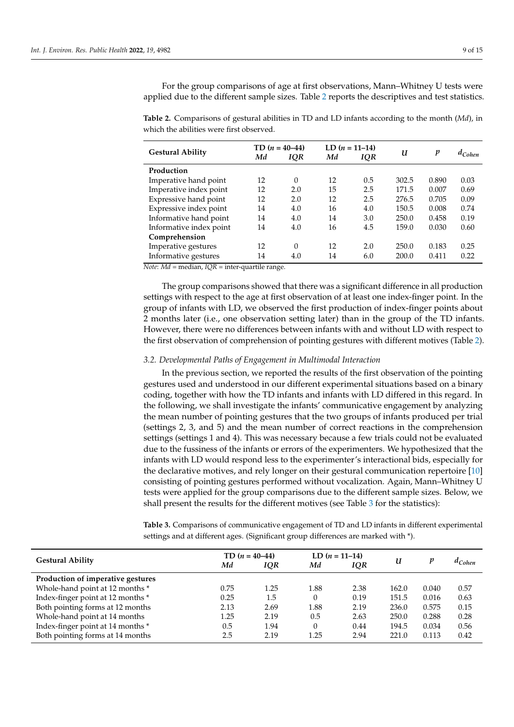For the group comparisons of age at first observations, Mann–Whitney U tests were applied due to the different sample sizes. Table [2](#page-8-1) reports the descriptives and test statistics.

<span id="page-8-1"></span>**Table 2.** Comparisons of gestural abilities in TD and LD infants according to the month (*Md*), in which the abilities were first observed.

| <b>Gestural Ability</b>                                                                                                                         | TD $(n = 40-44)$ |            | LD $(n = 11-14)$ |            |       |       |             |
|-------------------------------------------------------------------------------------------------------------------------------------------------|------------------|------------|------------------|------------|-------|-------|-------------|
|                                                                                                                                                 | Μd               | <b>IQR</b> | Мd               | <b>IQR</b> | U     | p     | $d_{Cohen}$ |
| Production                                                                                                                                      |                  |            |                  |            |       |       |             |
| Imperative hand point                                                                                                                           | 12               | $\theta$   | 12               | 0.5        | 302.5 | 0.890 | 0.03        |
| Imperative index point                                                                                                                          | 12               | 2.0        | 15               | 2.5        | 171.5 | 0.007 | 0.69        |
| Expressive hand point                                                                                                                           | 12               | 2.0        | 12               | 2.5        | 276.5 | 0.705 | 0.09        |
| Expressive index point                                                                                                                          | 14               | 4.0        | 16               | 4.0        | 150.5 | 0.008 | 0.74        |
| Informative hand point                                                                                                                          | 14               | 4.0        | 14               | 3.0        | 250.0 | 0.458 | 0.19        |
| Informative index point                                                                                                                         | 14               | 4.0        | 16               | 4.5        | 159.0 | 0.030 | 0.60        |
| Comprehension                                                                                                                                   |                  |            |                  |            |       |       |             |
| Imperative gestures                                                                                                                             | 12               | $\Omega$   | 12               | 2.0        | 250.0 | 0.183 | 0.25        |
| Informative gestures<br>$\mathbf{M} \cdot \mathbf{L} = \mathbf{M} \cdot \mathbf{M} = \mathbf{M} \cdot \mathbf{M} = \mathbf{M} \cdot \mathbf{M}$ | 14               | 4.0        | 14               | 6.0        | 200.0 | 0.411 | 0.22        |

*Note*: *Md* = median, *IQR* = inter-quartile range.

The group comparisons showed that there was a significant difference in all production settings with respect to the age at first observation of at least one index-finger point. In the group of infants with LD, we observed the first production of index-finger points about 2 months later (i.e., one observation setting later) than in the group of the TD infants. However, there were no differences between infants with and without LD with respect to the first observation of comprehension of pointing gestures with different motives (Table [2\)](#page-8-1).

### <span id="page-8-0"></span>*3.2. Developmental Paths of Engagement in Multimodal Interaction*

In the previous section, we reported the results of the first observation of the pointing gestures used and understood in our different experimental situations based on a binary coding, together with how the TD infants and infants with LD differed in this regard. In the following, we shall investigate the infants' communicative engagement by analyzing the mean number of pointing gestures that the two groups of infants produced per trial (settings 2, 3, and 5) and the mean number of correct reactions in the comprehension settings (settings 1 and 4). This was necessary because a few trials could not be evaluated due to the fussiness of the infants or errors of the experimenters. We hypothesized that the infants with LD would respond less to the experimenter's interactional bids, especially for the declarative motives, and rely longer on their gestural communication repertoire [\[10\]](#page-13-2) consisting of pointing gestures performed without vocalization. Again, Mann–Whitney U tests were applied for the group comparisons due to the different sample sizes. Below, we shall present the results for the different motives (see Table [3](#page-8-2) for the statistics):

<span id="page-8-2"></span>**Table 3.** Comparisons of communicative engagement of TD and LD infants in different experimental settings and at different ages. (Significant group differences are marked with \*).

| TD $(n = 40-44)$<br>Μd<br>IQR |      | LD $(n = 11-14)$<br>Мd<br>IQR |      | U     | p     | $a_{Cohen}$ |
|-------------------------------|------|-------------------------------|------|-------|-------|-------------|
|                               |      |                               |      |       |       |             |
| 0.75                          | 1.25 | 1.88                          | 2.38 | 162.0 | 0.040 | 0.57        |
| 0.25                          | 1.5  | $\Omega$                      | 0.19 | 151.5 | 0.016 | 0.63        |
| 2.13                          | 2.69 | 1.88                          | 2.19 | 236.0 | 0.575 | 0.15        |
| 1.25                          | 2.19 | 0.5                           | 2.63 | 250.0 | 0.288 | 0.28        |
| 0.5                           | 1.94 | $\Omega$                      | 0.44 | 194.5 | 0.034 | 0.56        |
| 2.5                           | 2.19 | 1.25                          | 2.94 | 221.0 | 0.113 | 0.42        |
|                               |      |                               |      |       |       |             |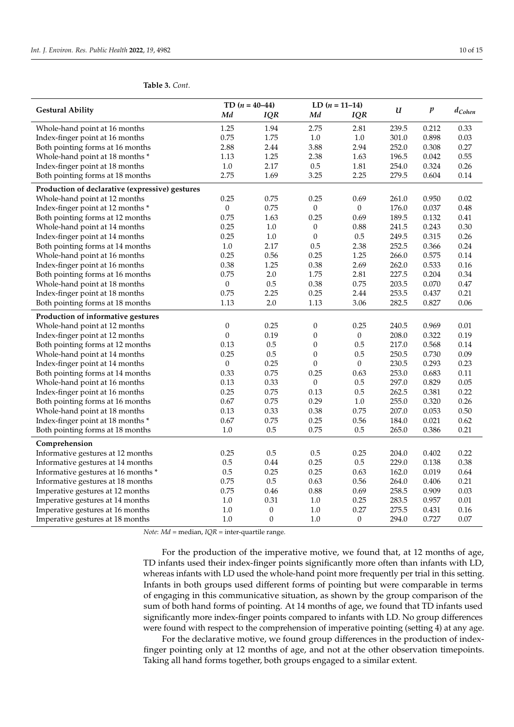# **Table 3.** *Cont.*

|                                                 | TD $(n = 40-44)$ |                  | LD $(n = 11-14)$ |                  |       |                  |             |
|-------------------------------------------------|------------------|------------------|------------------|------------------|-------|------------------|-------------|
| <b>Gestural Ability</b>                         | Мd               | IQR              | Md               | IQR              | u     | $\boldsymbol{p}$ | $d_{Cohen}$ |
| Whole-hand point at 16 months                   | 1.25             | 1.94             | 2.75             | 2.81             | 239.5 | 0.212            | 0.33        |
| Index-finger point at 16 months                 | 0.75             | 1.75             | $1.0$            | $1.0\,$          | 301.0 | 0.898            | 0.03        |
| Both pointing forms at 16 months                | 2.88             | 2.44             | 3.88             | 2.94             | 252.0 | 0.308            | 0.27        |
| Whole-hand point at 18 months *                 | 1.13             | 1.25             | 2.38             | 1.63             | 196.5 | 0.042            | 0.55        |
| Index-finger point at 18 months                 | 1.0              | 2.17             | 0.5              | 1.81             | 254.0 | 0.324            | 0.26        |
| Both pointing forms at 18 months                | 2.75             | 1.69             | 3.25             | 2.25             | 279.5 | 0.604            | 0.14        |
| Production of declarative (expressive) gestures |                  |                  |                  |                  |       |                  |             |
| Whole-hand point at 12 months                   | 0.25             | 0.75             | 0.25             | 0.69             | 261.0 | 0.950            | 0.02        |
| Index-finger point at 12 months *               | $\mathbf{0}$     | 0.75             | $\mathbf{0}$     | $\boldsymbol{0}$ | 176.0 | 0.037            | 0.48        |
| Both pointing forms at 12 months                | 0.75             | 1.63             | 0.25             | 0.69             | 189.5 | 0.132            | 0.41        |
| Whole-hand point at 14 months                   | 0.25             | $1.0$            | $\boldsymbol{0}$ | 0.88             | 241.5 | 0.243            | 0.30        |
| Index-finger point at 14 months                 | 0.25             | 1.0              | $\theta$         | $0.5\,$          | 249.5 | 0.315            | 0.26        |
| Both pointing forms at 14 months                | 1.0              | 2.17             | 0.5              | 2.38             | 252.5 | 0.366            | 0.24        |
| Whole-hand point at 16 months                   | 0.25             | 0.56             | 0.25             | 1.25             | 266.0 | 0.575            | 0.14        |
| Index-finger point at 16 months                 | 0.38             | 1.25             | 0.38             | 2.69             | 262.0 | 0.533            | 0.16        |
| Both pointing forms at 16 months                | 0.75             | 2.0              | 1.75             | 2.81             | 227.5 | 0.204            | 0.34        |
| Whole-hand point at 18 months                   | $\boldsymbol{0}$ | 0.5              | 0.38             | 0.75             | 203.5 | 0.070            | 0.47        |
| Index-finger point at 18 months                 | 0.75             | 2.25             | 0.25             | 2.44             | 253.5 | 0.437            | 0.21        |
| Both pointing forms at 18 months                | 1.13             | 2.0              | 1.13             | 3.06             | 282.5 | 0.827            | 0.06        |
| Production of informative gestures              |                  |                  |                  |                  |       |                  |             |
| Whole-hand point at 12 months                   | $\boldsymbol{0}$ | 0.25             | $\boldsymbol{0}$ | 0.25             | 240.5 | 0.969            | 0.01        |
| Index-finger point at 12 months                 | $\theta$         | 0.19             | $\boldsymbol{0}$ | $\boldsymbol{0}$ | 208.0 | 0.322            | 0.19        |
| Both pointing forms at 12 months                | 0.13             | 0.5              | $\boldsymbol{0}$ | 0.5              | 217.0 | 0.568            | 0.14        |
| Whole-hand point at 14 months                   | 0.25             | 0.5              | $\boldsymbol{0}$ | 0.5              | 250.5 | 0.730            | 0.09        |
| Index-finger point at 14 months                 | $\boldsymbol{0}$ | 0.25             | $\boldsymbol{0}$ | $\boldsymbol{0}$ | 230.5 | 0.293            | 0.23        |
| Both pointing forms at 14 months                | 0.33             | 0.75             | 0.25             | 0.63             | 253.0 | 0.683            | 0.11        |
| Whole-hand point at 16 months                   | 0.13             | 0.33             | $\boldsymbol{0}$ | 0.5              | 297.0 | 0.829            | 0.05        |
| Index-finger point at 16 months                 | 0.25             | 0.75             | 0.13             | 0.5              | 262.5 | 0.381            | 0.22        |
| Both pointing forms at 16 months                | 0.67             | 0.75             | 0.29             | 1.0              | 255.0 | 0.320            | 0.26        |
| Whole-hand point at 18 months                   | 0.13             | 0.33             | 0.38             | 0.75             | 207.0 | 0.053            | 0.50        |
| Index-finger point at 18 months *               | 0.67             | 0.75             | 0.25             | 0.56             | 184.0 | 0.021            | 0.62        |
| Both pointing forms at 18 months                | 1.0              | 0.5              | 0.75             | $0.5\,$          | 265.0 | 0.386            | 0.21        |
| Comprehension                                   |                  |                  |                  |                  |       |                  |             |
| Informative gestures at 12 months               | 0.25             | 0.5              | 0.5              | 0.25             | 204.0 | 0.402            | 0.22        |
| Informative gestures at 14 months               | 0.5              | 0.44             | 0.25             | 0.5              | 229.0 | 0.138            | 0.38        |
| Informative gestures at 16 months *             | 0.5              | 0.25             | 0.25             | 0.63             | 162.0 | 0.019            | 0.64        |
| Informative gestures at 18 months               | 0.75             | 0.5              | 0.63             | 0.56             | 264.0 | 0.406            | 0.21        |
| Imperative gestures at 12 months                | 0.75             | 0.46             | 0.88             | 0.69             | 258.5 | 0.909            | 0.03        |
| Imperative gestures at 14 months                | 1.0              | 0.31             | 1.0              | 0.25             | 283.5 | 0.957            | $0.01\,$    |
| Imperative gestures at 16 months                | 1.0              | $\boldsymbol{0}$ | 1.0              | 0.27             | 275.5 | 0.431            | 0.16        |
| Imperative gestures at 18 months                | 1.0              | $\theta$         | 1.0              | $\boldsymbol{0}$ | 294.0 | 0.727            | 0.07        |

*Note*: *Md* = median, *IQR* = inter-quartile range.

For the production of the imperative motive, we found that, at 12 months of age, TD infants used their index-finger points significantly more often than infants with LD, whereas infants with LD used the whole-hand point more frequently per trial in this setting. Infants in both groups used different forms of pointing but were comparable in terms of engaging in this communicative situation, as shown by the group comparison of the sum of both hand forms of pointing. At 14 months of age, we found that TD infants used significantly more index-finger points compared to infants with LD. No group differences were found with respect to the comprehension of imperative pointing (setting 4) at any age.

For the declarative motive, we found group differences in the production of indexfinger pointing only at 12 months of age, and not at the other observation timepoints. Taking all hand forms together, both groups engaged to a similar extent.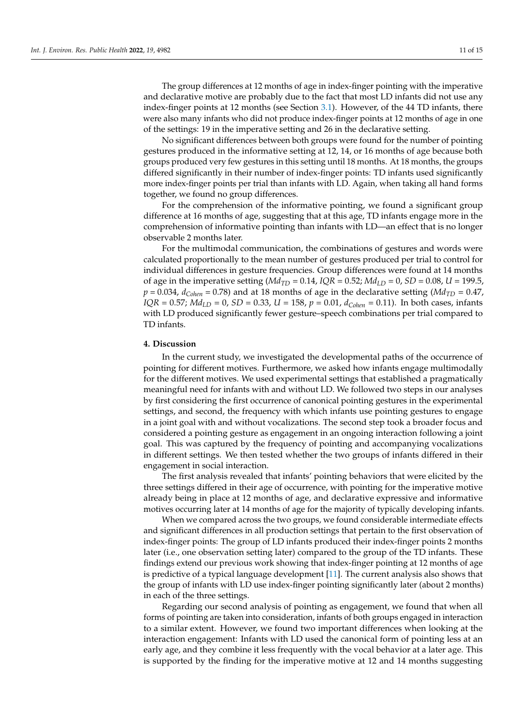The group differences at 12 months of age in index-finger pointing with the imperative and declarative motive are probably due to the fact that most LD infants did not use any index-finger points at 12 months (see Section [3.1\)](#page-6-1). However, of the 44 TD infants, there were also many infants who did not produce index-finger points at 12 months of age in one of the settings: 19 in the imperative setting and 26 in the declarative setting.

No significant differences between both groups were found for the number of pointing gestures produced in the informative setting at 12, 14, or 16 months of age because both groups produced very few gestures in this setting until 18 months. At 18 months, the groups differed significantly in their number of index-finger points: TD infants used significantly more index-finger points per trial than infants with LD. Again, when taking all hand forms together, we found no group differences.

For the comprehension of the informative pointing, we found a significant group difference at 16 months of age, suggesting that at this age, TD infants engage more in the comprehension of informative pointing than infants with LD—an effect that is no longer observable 2 months later.

For the multimodal communication, the combinations of gestures and words were calculated proportionally to the mean number of gestures produced per trial to control for individual differences in gesture frequencies. Group differences were found at 14 months of age in the imperative setting  $(Md_{TD} = 0.14, IQR = 0.52; Md<sub>LD</sub> = 0, SD = 0.08, U = 199.5,$  $p = 0.034$ ,  $d_{Cohen} = 0.78$ ) and at 18 months of age in the declarative setting (*Md<sub>TD</sub>* = 0.47, *IQR* = 0.57; *MdLD* = 0, *SD* = 0.33, *U* = 158, *p* = 0.01, *dCohen* = 0.11). In both cases, infants with LD produced significantly fewer gesture–speech combinations per trial compared to TD infants.

## **4. Discussion**

In the current study, we investigated the developmental paths of the occurrence of pointing for different motives. Furthermore, we asked how infants engage multimodally for the different motives. We used experimental settings that established a pragmatically meaningful need for infants with and without LD. We followed two steps in our analyses by first considering the first occurrence of canonical pointing gestures in the experimental settings, and second, the frequency with which infants use pointing gestures to engage in a joint goal with and without vocalizations. The second step took a broader focus and considered a pointing gesture as engagement in an ongoing interaction following a joint goal. This was captured by the frequency of pointing and accompanying vocalizations in different settings. We then tested whether the two groups of infants differed in their engagement in social interaction.

The first analysis revealed that infants' pointing behaviors that were elicited by the three settings differed in their age of occurrence, with pointing for the imperative motive already being in place at 12 months of age, and declarative expressive and informative motives occurring later at 14 months of age for the majority of typically developing infants.

When we compared across the two groups, we found considerable intermediate effects and significant differences in all production settings that pertain to the first observation of index-finger points: The group of LD infants produced their index-finger points 2 months later (i.e., one observation setting later) compared to the group of the TD infants. These findings extend our previous work showing that index-finger pointing at 12 months of age is predictive of a typical language development [\[11\]](#page-13-28). The current analysis also shows that the group of infants with LD use index-finger pointing significantly later (about 2 months) in each of the three settings.

Regarding our second analysis of pointing as engagement, we found that when all forms of pointing are taken into consideration, infants of both groups engaged in interaction to a similar extent. However, we found two important differences when looking at the interaction engagement: Infants with LD used the canonical form of pointing less at an early age, and they combine it less frequently with the vocal behavior at a later age. This is supported by the finding for the imperative motive at 12 and 14 months suggesting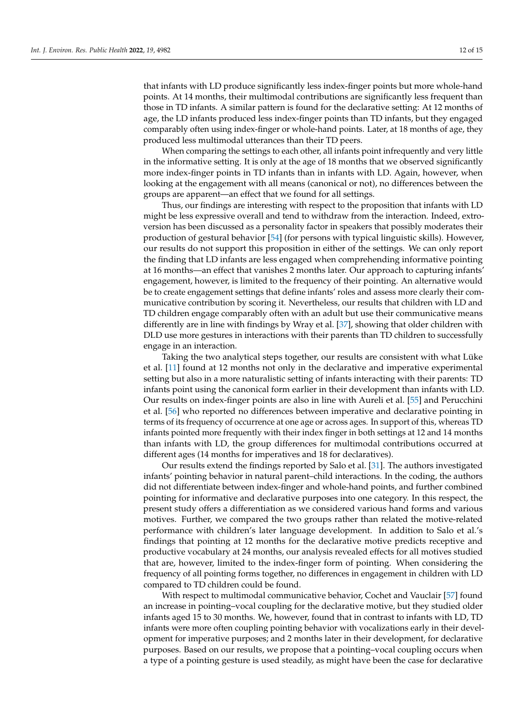that infants with LD produce significantly less index-finger points but more whole-hand points. At 14 months, their multimodal contributions are significantly less frequent than those in TD infants. A similar pattern is found for the declarative setting: At 12 months of age, the LD infants produced less index-finger points than TD infants, but they engaged comparably often using index-finger or whole-hand points. Later, at 18 months of age, they produced less multimodal utterances than their TD peers.

When comparing the settings to each other, all infants point infrequently and very little in the informative setting. It is only at the age of 18 months that we observed significantly more index-finger points in TD infants than in infants with LD. Again, however, when looking at the engagement with all means (canonical or not), no differences between the groups are apparent—an effect that we found for all settings.

Thus, our findings are interesting with respect to the proposition that infants with LD might be less expressive overall and tend to withdraw from the interaction. Indeed, extroversion has been discussed as a personality factor in speakers that possibly moderates their production of gestural behavior [\[54\]](#page-14-19) (for persons with typical linguistic skills). However, our results do not support this proposition in either of the settings. We can only report the finding that LD infants are less engaged when comprehending informative pointing at 16 months—an effect that vanishes 2 months later. Our approach to capturing infants' engagement, however, is limited to the frequency of their pointing. An alternative would be to create engagement settings that define infants' roles and assess more clearly their communicative contribution by scoring it. Nevertheless, our results that children with LD and TD children engage comparably often with an adult but use their communicative means differently are in line with findings by Wray et al. [\[37\]](#page-13-27), showing that older children with DLD use more gestures in interactions with their parents than TD children to successfully engage in an interaction.

Taking the two analytical steps together, our results are consistent with what Lüke et al. [\[11\]](#page-13-28) found at 12 months not only in the declarative and imperative experimental setting but also in a more naturalistic setting of infants interacting with their parents: TD infants point using the canonical form earlier in their development than infants with LD. Our results on index-finger points are also in line with Aureli et al. [\[55\]](#page-14-20) and Perucchini et al. [\[56\]](#page-14-21) who reported no differences between imperative and declarative pointing in terms of its frequency of occurrence at one age or across ages. In support of this, whereas TD infants pointed more frequently with their index finger in both settings at 12 and 14 months than infants with LD, the group differences for multimodal contributions occurred at different ages (14 months for imperatives and 18 for declaratives).

Our results extend the findings reported by Salo et al. [\[31\]](#page-13-21). The authors investigated infants' pointing behavior in natural parent–child interactions. In the coding, the authors did not differentiate between index-finger and whole-hand points, and further combined pointing for informative and declarative purposes into one category. In this respect, the present study offers a differentiation as we considered various hand forms and various motives. Further, we compared the two groups rather than related the motive-related performance with children's later language development. In addition to Salo et al.'s findings that pointing at 12 months for the declarative motive predicts receptive and productive vocabulary at 24 months, our analysis revealed effects for all motives studied that are, however, limited to the index-finger form of pointing. When considering the frequency of all pointing forms together, no differences in engagement in children with LD compared to TD children could be found.

With respect to multimodal communicative behavior, Cochet and Vauclair [\[57\]](#page-14-22) found an increase in pointing–vocal coupling for the declarative motive, but they studied older infants aged 15 to 30 months. We, however, found that in contrast to infants with LD, TD infants were more often coupling pointing behavior with vocalizations early in their development for imperative purposes; and 2 months later in their development, for declarative purposes. Based on our results, we propose that a pointing–vocal coupling occurs when a type of a pointing gesture is used steadily, as might have been the case for declarative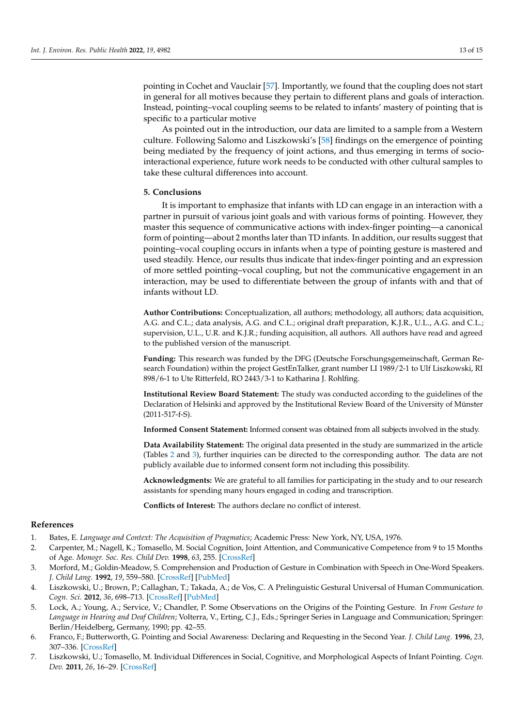pointing in Cochet and Vauclair [\[57\]](#page-14-22). Importantly, we found that the coupling does not start in general for all motives because they pertain to different plans and goals of interaction. Instead, pointing–vocal coupling seems to be related to infants' mastery of pointing that is specific to a particular motive

As pointed out in the introduction, our data are limited to a sample from a Western culture. Following Salomo and Liszkowski's [\[58\]](#page-14-23) findings on the emergence of pointing being mediated by the frequency of joint actions, and thus emerging in terms of sociointeractional experience, future work needs to be conducted with other cultural samples to take these cultural differences into account.

# **5. Conclusions**

It is important to emphasize that infants with LD can engage in an interaction with a partner in pursuit of various joint goals and with various forms of pointing. However, they master this sequence of communicative actions with index-finger pointing—a canonical form of pointing—about 2 months later than TD infants. In addition, our results suggest that pointing–vocal coupling occurs in infants when a type of pointing gesture is mastered and used steadily. Hence, our results thus indicate that index-finger pointing and an expression of more settled pointing–vocal coupling, but not the communicative engagement in an interaction, may be used to differentiate between the group of infants with and that of infants without LD.

**Author Contributions:** Conceptualization, all authors; methodology, all authors; data acquisition, A.G. and C.L.; data analysis, A.G. and C.L.; original draft preparation, K.J.R., U.L., A.G. and C.L.; supervision, U.L., U.R. and K.J.R.; funding acquisition, all authors. All authors have read and agreed to the published version of the manuscript.

**Funding:** This research was funded by the DFG (Deutsche Forschungsgemeinschaft, German Research Foundation) within the project GestEnTalker, grant number LI 1989/2-1 to Ulf Liszkowski, RI 898/6-1 to Ute Ritterfeld, RO 2443/3-1 to Katharina J. Rohlfing.

**Institutional Review Board Statement:** The study was conducted according to the guidelines of the Declaration of Helsinki and approved by the Institutional Review Board of the University of Münster (2011-517-f-S).

**Informed Consent Statement:** Informed consent was obtained from all subjects involved in the study.

**Data Availability Statement:** The original data presented in the study are summarized in the article (Tables [2](#page-8-1) and [3\)](#page-8-2), further inquiries can be directed to the corresponding author. The data are not publicly available due to informed consent form not including this possibility.

**Acknowledgments:** We are grateful to all families for participating in the study and to our research assistants for spending many hours engaged in coding and transcription.

**Conflicts of Interest:** The authors declare no conflict of interest.

#### **References**

- <span id="page-12-0"></span>1. Bates, E. *Language and Context: The Acquisition of Pragmatics*; Academic Press: New York, NY, USA, 1976.
- 2. Carpenter, M.; Nagell, K.; Tomasello, M. Social Cognition, Joint Attention, and Communicative Competence from 9 to 15 Months of Age. *Monogr. Soc. Res. Child Dev.* **1998**, *63*, 255. [\[CrossRef\]](http://doi.org/10.2307/1166214)
- <span id="page-12-1"></span>3. Morford, M.; Goldin-Meadow, S. Comprehension and Production of Gesture in Combination with Speech in One-Word Speakers. *J. Child Lang.* **1992**, *19*, 559–580. [\[CrossRef\]](http://doi.org/10.1017/S0305000900011569) [\[PubMed\]](http://www.ncbi.nlm.nih.gov/pubmed/1429948)
- <span id="page-12-2"></span>4. Liszkowski, U.; Brown, P.; Callaghan, T.; Takada, A.; de Vos, C. A Prelinguistic Gestural Universal of Human Communication. *Cogn. Sci.* **2012**, *36*, 698–713. [\[CrossRef\]](http://doi.org/10.1111/j.1551-6709.2011.01228.x) [\[PubMed\]](http://www.ncbi.nlm.nih.gov/pubmed/22303868)
- <span id="page-12-3"></span>5. Lock, A.; Young, A.; Service, V.; Chandler, P. Some Observations on the Origins of the Pointing Gesture. In *From Gesture to Language in Hearing and Deaf Children*; Volterra, V., Erting, C.J., Eds.; Springer Series in Language and Communication; Springer: Berlin/Heidelberg, Germany, 1990; pp. 42–55.
- <span id="page-12-5"></span>6. Franco, F.; Butterworth, G. Pointing and Social Awareness: Declaring and Requesting in the Second Year. *J. Child Lang.* **1996**, *23*, 307–336. [\[CrossRef\]](http://doi.org/10.1017/S0305000900008813)
- <span id="page-12-4"></span>7. Liszkowski, U.; Tomasello, M. Individual Differences in Social, Cognitive, and Morphological Aspects of Infant Pointing. *Cogn. Dev.* **2011**, *26*, 16–29. [\[CrossRef\]](http://doi.org/10.1016/j.cogdev.2010.10.001)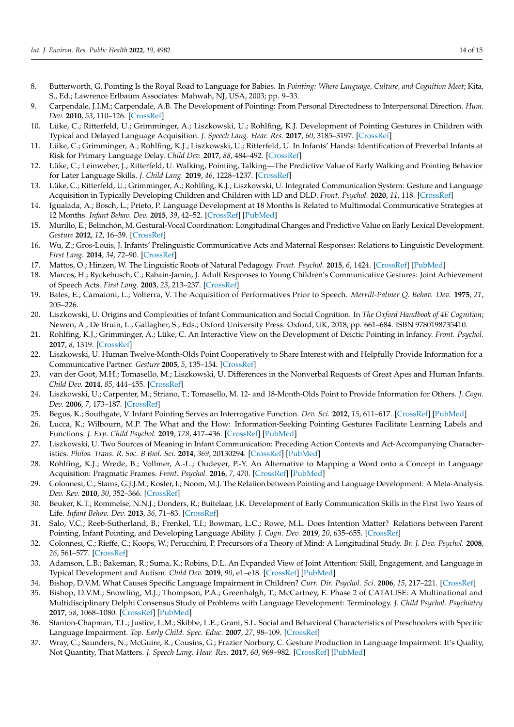- <span id="page-13-0"></span>8. Butterworth, G. Pointing Is the Royal Road to Language for Babies. In *Pointing: Where Language, Culture, and Cognition Meet*; Kita, S., Ed.; Lawrence Erlbaum Associates: Mahwah, NJ, USA, 2003; pp. 9–33.
- <span id="page-13-1"></span>9. Carpendale, J.I.M.; Carpendale, A.B. The Development of Pointing: From Personal Directedness to Interpersonal Direction. *Hum. Dev.* **2010**, *53*, 110–126. [\[CrossRef\]](http://doi.org/10.1159/000315168)
- <span id="page-13-2"></span>10. Lüke, C.; Ritterfeld, U.; Grimminger, A.; Liszkowski, U.; Rohlfing, K.J. Development of Pointing Gestures in Children with Typical and Delayed Language Acquisition. *J. Speech Lang. Hear. Res.* **2017**, *60*, 3185–3197. [\[CrossRef\]](http://doi.org/10.1044/2017_JSLHR-L-16-0129)
- <span id="page-13-28"></span>11. Lüke, C.; Grimminger, A.; Rohlfing, K.J.; Liszkowski, U.; Ritterfeld, U. In Infants' Hands: Identification of Preverbal Infants at Risk for Primary Language Delay. *Child Dev.* **2017**, *88*, 484–492. [\[CrossRef\]](http://doi.org/10.1111/cdev.12610)
- 12. Lüke, C.; Leinweber, J.; Ritterfeld, U. Walking, Pointing, Talking—The Predictive Value of Early Walking and Pointing Behavior for Later Language Skills. *J. Child Lang.* **2019**, *46*, 1228–1237. [\[CrossRef\]](http://doi.org/10.1017/S0305000919000394)
- <span id="page-13-3"></span>13. Lüke, C.; Ritterfeld, U.; Grimminger, A.; Rohlfing, K.J.; Liszkowski, U. Integrated Communication System: Gesture and Language Acquisition in Typically Developing Children and Children with LD and DLD. *Front. Psychol.* **2020**, *11*, 118. [\[CrossRef\]](http://doi.org/10.3389/fpsyg.2020.00118)
- <span id="page-13-4"></span>14. Igualada, A.; Bosch, L.; Prieto, P. Language Development at 18 Months Is Related to Multimodal Communicative Strategies at 12 Months. *Infant Behav. Dev.* **2015**, *39*, 42–52. [\[CrossRef\]](http://doi.org/10.1016/j.infbeh.2015.02.004) [\[PubMed\]](http://www.ncbi.nlm.nih.gov/pubmed/25756420)
- <span id="page-13-6"></span>15. Murillo, E.; Belinchón, M. Gestural-Vocal Coordination: Longitudinal Changes and Predictive Value on Early Lexical Development. *Gesture* **2012**, *12*, 16–39. [\[CrossRef\]](http://doi.org/10.1075/gest.12.1.02mur)
- <span id="page-13-5"></span>16. Wu, Z.; Gros-Louis, J. Infants' Prelinguistic Communicative Acts and Maternal Responses: Relations to Linguistic Development. *First Lang.* **2014**, *34*, 72–90. [\[CrossRef\]](http://doi.org/10.1177/0142723714521925)
- <span id="page-13-7"></span>17. Mattos, O.; Hinzen, W. The Linguistic Roots of Natural Pedagogy. *Front. Psychol.* **2015**, *6*, 1424. [\[CrossRef\]](http://doi.org/10.3389/fpsyg.2015.01424) [\[PubMed\]](http://www.ncbi.nlm.nih.gov/pubmed/26441794)
- <span id="page-13-8"></span>18. Marcos, H.; Ryckebusch, C.; Rabain-Jamin, J. Adult Responses to Young Children's Communicative Gestures: Joint Achievement of Speech Acts. *First Lang.* **2003**, *23*, 213–237. [\[CrossRef\]](http://doi.org/10.1177/01427237030232004)
- <span id="page-13-9"></span>19. Bates, E.; Camaioni, L.; Volterra, V. The Acquisition of Performatives Prior to Speech. *Merrill-Palmer Q. Behav. Dev.* **1975**, *21*, 205–226.
- <span id="page-13-10"></span>20. Liszkowski, U. Origins and Complexities of Infant Communication and Social Cognition. In *The Oxford Handbook of 4E Cognition*; Newen, A., De Bruin, L., Gallagher, S., Eds.; Oxford University Press: Oxford, UK, 2018; pp. 661–684. ISBN 9780198735410.
- <span id="page-13-11"></span>21. Rohlfing, K.J.; Grimminger, A.; Lüke, C. An Interactive View on the Development of Deictic Pointing in Infancy. *Front. Psychol.* **2017**, *8*, 1319. [\[CrossRef\]](http://doi.org/10.3389/fpsyg.2017.01319)
- <span id="page-13-12"></span>22. Liszkowski, U. Human Twelve-Month-Olds Point Cooperatively to Share Interest with and Helpfully Provide Information for a Communicative Partner. *Gesture* **2005**, *5*, 135–154. [\[CrossRef\]](http://doi.org/10.1075/gest.5.1.11lis)
- <span id="page-13-13"></span>23. van der Goot, M.H.; Tomasello, M.; Liszkowski, U. Differences in the Nonverbal Requests of Great Apes and Human Infants. *Child Dev.* **2014**, *85*, 444–455. [\[CrossRef\]](http://doi.org/10.1111/cdev.12141)
- <span id="page-13-14"></span>24. Liszkowski, U.; Carpenter, M.; Striano, T.; Tomasello, M. 12- and 18-Month-Olds Point to Provide Information for Others. *J. Cogn. Dev.* **2006**, *7*, 173–187. [\[CrossRef\]](http://doi.org/10.1207/s15327647jcd0702_2)
- <span id="page-13-15"></span>25. Begus, K.; Southgate, V. Infant Pointing Serves an Interrogative Function. *Dev. Sci.* **2012**, *15*, 611–617. [\[CrossRef\]](http://doi.org/10.1111/j.1467-7687.2012.01160.x) [\[PubMed\]](http://www.ncbi.nlm.nih.gov/pubmed/22925509)
- <span id="page-13-16"></span>26. Lucca, K.; Wilbourn, M.P. The What and the How: Information-Seeking Pointing Gestures Facilitate Learning Labels and Functions. *J. Exp. Child Psychol.* **2019**, *178*, 417–436. [\[CrossRef\]](http://doi.org/10.1016/j.jecp.2018.08.003) [\[PubMed\]](http://www.ncbi.nlm.nih.gov/pubmed/30318380)
- <span id="page-13-17"></span>27. Liszkowski, U. Two Sources of Meaning in Infant Communication: Preceding Action Contexts and Act-Accompanying Characteristics. *Philos. Trans. R. Soc. B Biol. Sci.* **2014**, *369*, 20130294. [\[CrossRef\]](http://doi.org/10.1098/rstb.2013.0294) [\[PubMed\]](http://www.ncbi.nlm.nih.gov/pubmed/25092662)
- <span id="page-13-18"></span>28. Rohlfing, K.J.; Wrede, B.; Vollmer, A.-L.; Oudeyer, P.-Y. An Alternative to Mapping a Word onto a Concept in Language Acquisition: Pragmatic Frames. *Front. Psychol.* **2016**, *7*, 470. [\[CrossRef\]](http://doi.org/10.3389/fpsyg.2016.00470) [\[PubMed\]](http://www.ncbi.nlm.nih.gov/pubmed/27148105)
- <span id="page-13-19"></span>29. Colonnesi, C.; Stams, G.J.J.M.; Koster, I.; Noom, M.J. The Relation between Pointing and Language Development: A Meta-Analysis. *Dev. Rev.* **2010**, *30*, 352–366. [\[CrossRef\]](http://doi.org/10.1016/j.dr.2010.10.001)
- <span id="page-13-20"></span>30. Beuker, K.T.; Rommelse, N.N.J.; Donders, R.; Buitelaar, J.K. Development of Early Communication Skills in the First Two Years of Life. *Infant Behav. Dev.* **2013**, *36*, 71–83. [\[CrossRef\]](http://doi.org/10.1016/j.infbeh.2012.11.001)
- <span id="page-13-21"></span>31. Salo, V.C.; Reeb-Sutherland, B.; Frenkel, T.I.; Bowman, L.C.; Rowe, M.L. Does Intention Matter? Relations between Parent Pointing, Infant Pointing, and Developing Language Ability. *J. Cogn. Dev.* **2019**, *20*, 635–655. [\[CrossRef\]](http://doi.org/10.1080/15248372.2019.1648266)
- <span id="page-13-22"></span>32. Colonnesi, C.; Rieffe, C.; Koops, W.; Perucchini, P. Precursors of a Theory of Mind: A Longitudinal Study. *Br. J. Dev. Psychol.* **2008**, *26*, 561–577. [\[CrossRef\]](http://doi.org/10.1348/026151008X285660)
- <span id="page-13-23"></span>33. Adamson, L.B.; Bakeman, R.; Suma, K.; Robins, D.L. An Expanded View of Joint Attention: Skill, Engagement, and Language in Typical Development and Autism. *Child Dev.* **2019**, *90*, e1–e18. [\[CrossRef\]](http://doi.org/10.1111/cdev.12973) [\[PubMed\]](http://www.ncbi.nlm.nih.gov/pubmed/28991358)
- <span id="page-13-24"></span>34. Bishop, D.V.M. What Causes Specific Language Impairment in Children? *Curr. Dir. Psychol. Sci.* **2006**, *15*, 217–221. [\[CrossRef\]](http://doi.org/10.1111/j.1467-8721.2006.00439.x)
- <span id="page-13-25"></span>35. Bishop, D.V.M.; Snowling, M.J.; Thompson, P.A.; Greenhalgh, T.; McCartney, E. Phase 2 of CATALISE: A Multinational and Multidisciplinary Delphi Consensus Study of Problems with Language Development: Terminology. *J. Child Psychol. Psychiatry* **2017**, *58*, 1068–1080. [\[CrossRef\]](http://doi.org/10.1111/jcpp.12721) [\[PubMed\]](http://www.ncbi.nlm.nih.gov/pubmed/28369935)
- <span id="page-13-26"></span>36. Stanton-Chapman, T.L.; Justice, L.M.; Skibbe, L.E.; Grant, S.L. Social and Behavioral Characteristics of Preschoolers with Specific Language Impairment. *Top. Early Child. Spec. Educ.* **2007**, *27*, 98–109. [\[CrossRef\]](http://doi.org/10.1177/02711214070270020501)
- <span id="page-13-27"></span>37. Wray, C.; Saunders, N.; McGuire, R.; Cousins, G.; Frazier Norbury, C. Gesture Production in Language Impairment: It's Quality, Not Quantity, That Matters. *J. Speech Lang. Hear. Res.* **2017**, *60*, 969–982. [\[CrossRef\]](http://doi.org/10.1044/2016_JSLHR-L-16-0141) [\[PubMed\]](http://www.ncbi.nlm.nih.gov/pubmed/28359082)